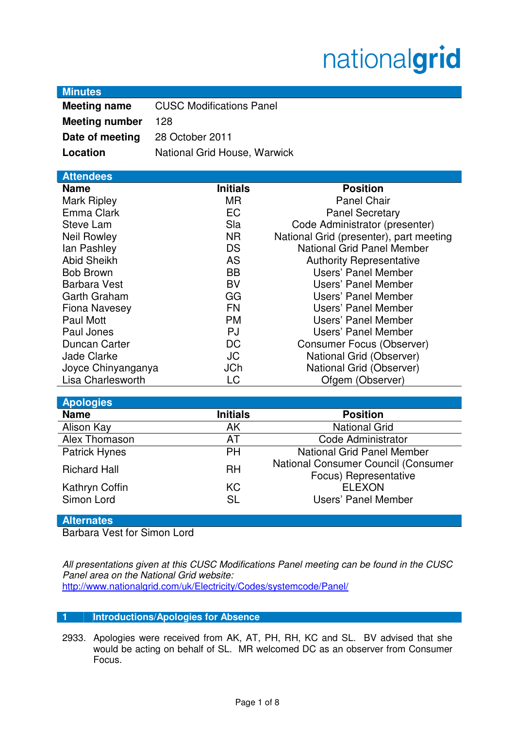# nationalgrid

| <b>Minutes</b> |
|----------------|
|----------------|

| .                     |                                 |
|-----------------------|---------------------------------|
| <b>Meeting name</b>   | <b>CUSC Modifications Panel</b> |
| <b>Meeting number</b> | 128                             |

**Date of meeting** 28 October 2011

**Location National Grid House, Warwick** 

| <b>Attendees</b> |  |
|------------------|--|
|                  |  |
|                  |  |

| <b>Name</b>          | <b>Initials</b> | <b>Position</b>                         |
|----------------------|-----------------|-----------------------------------------|
| <b>Mark Ripley</b>   | MR.             | <b>Panel Chair</b>                      |
| Emma Clark           | <b>EC</b>       | <b>Panel Secretary</b>                  |
| Steve Lam            | Sla             | Code Administrator (presenter)          |
| <b>Neil Rowley</b>   | <b>NR</b>       | National Grid (presenter), part meeting |
| lan Pashley          | <b>DS</b>       | <b>National Grid Panel Member</b>       |
| <b>Abid Sheikh</b>   | <b>AS</b>       | <b>Authority Representative</b>         |
| <b>Bob Brown</b>     | <b>BB</b>       | Users' Panel Member                     |
| <b>Barbara Vest</b>  | <b>BV</b>       | Users' Panel Member                     |
| Garth Graham         | GG              | Users' Panel Member                     |
| <b>Fiona Navesey</b> | <b>FN</b>       | Users' Panel Member                     |
| Paul Mott            | <b>PM</b>       | Users' Panel Member                     |
| Paul Jones           | <b>PJ</b>       | Users' Panel Member                     |
| Duncan Carter        | <b>DC</b>       | <b>Consumer Focus (Observer)</b>        |
| <b>Jade Clarke</b>   | <b>JC</b>       | National Grid (Observer)                |
| Joyce Chinyanganya   | <b>JCh</b>      | National Grid (Observer)                |
| Lisa Charlesworth    | LC              | Ofgem (Observer)                        |

| <b>Apologies</b>             |                 |                                                                     |
|------------------------------|-----------------|---------------------------------------------------------------------|
| <b>Name</b>                  | <b>Initials</b> | <b>Position</b>                                                     |
| Alison Kay                   | AK              | <b>National Grid</b>                                                |
| Alex Thomason                | AT              | Code Administrator                                                  |
| <b>Patrick Hynes</b>         | <b>PH</b>       | <b>National Grid Panel Member</b>                                   |
| <b>Richard Hall</b>          | <b>RH</b>       | <b>National Consumer Council (Consumer</b><br>Focus) Representative |
| Kathryn Coffin<br>Simon Lord | KC<br><b>SL</b> | <b>ELEXON</b><br>Users' Panel Member                                |

# **Alternates**

Barbara Vest for Simon Lord

All presentations given at this CUSC Modifications Panel meeting can be found in the CUSC Panel area on the National Grid website: http://www.nationalgrid.com/uk/Electricity/Codes/systemcode/Panel/

# **1 Introductions/Apologies for Absence**

2933. Apologies were received from AK, AT, PH, RH, KC and SL. BV advised that she would be acting on behalf of SL. MR welcomed DC as an observer from Consumer Focus.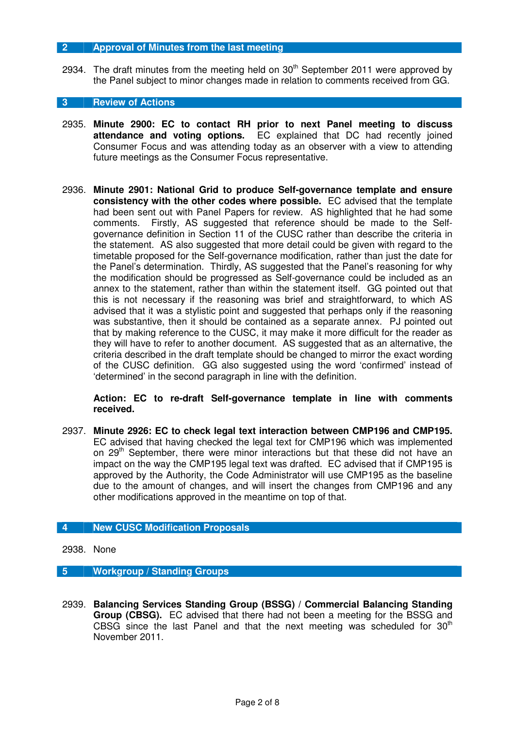#### **2 Approval of Minutes from the last meeting**

2934. The draft minutes from the meeting held on  $30<sup>th</sup>$  September 2011 were approved by the Panel subject to minor changes made in relation to comments received from GG.

#### **3 Review of Actions**

- 2935. **Minute 2900: EC to contact RH prior to next Panel meeting to discuss attendance and voting options.** EC explained that DC had recently joined Consumer Focus and was attending today as an observer with a view to attending future meetings as the Consumer Focus representative.
- 2936. **Minute 2901: National Grid to produce Self-governance template and ensure consistency with the other codes where possible.** EC advised that the template had been sent out with Panel Papers for review. AS highlighted that he had some comments. Firstly, AS suggested that reference should be made to the Selfgovernance definition in Section 11 of the CUSC rather than describe the criteria in the statement. AS also suggested that more detail could be given with regard to the timetable proposed for the Self-governance modification, rather than just the date for the Panel's determination. Thirdly, AS suggested that the Panel's reasoning for why the modification should be progressed as Self-governance could be included as an annex to the statement, rather than within the statement itself. GG pointed out that this is not necessary if the reasoning was brief and straightforward, to which AS advised that it was a stylistic point and suggested that perhaps only if the reasoning was substantive, then it should be contained as a separate annex. PJ pointed out that by making reference to the CUSC, it may make it more difficult for the reader as they will have to refer to another document. AS suggested that as an alternative, the criteria described in the draft template should be changed to mirror the exact wording of the CUSC definition. GG also suggested using the word 'confirmed' instead of 'determined' in the second paragraph in line with the definition.

**Action: EC to re-draft Self-governance template in line with comments received.** 

2937. **Minute 2926: EC to check legal text interaction between CMP196 and CMP195.**  EC advised that having checked the legal text for CMP196 which was implemented on 29<sup>th</sup> September, there were minor interactions but that these did not have an impact on the way the CMP195 legal text was drafted. EC advised that if CMP195 is approved by the Authority, the Code Administrator will use CMP195 as the baseline due to the amount of changes, and will insert the changes from CMP196 and any other modifications approved in the meantime on top of that.

# **4 New CUSC Modification Proposals**

2938. None

# **5 Workgroup / Standing Groups**

2939. **Balancing Services Standing Group (BSSG) / Commercial Balancing Standing Group (CBSG).** EC advised that there had not been a meeting for the BSSG and CBSG since the last Panel and that the next meeting was scheduled for  $30<sup>th</sup>$ November 2011.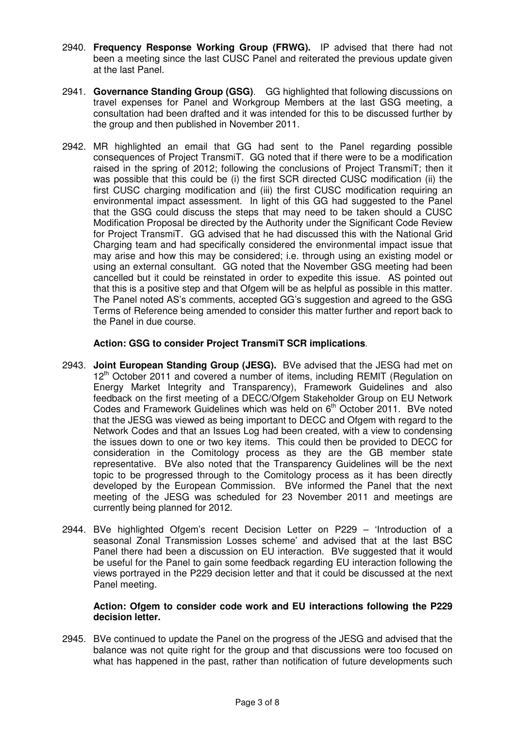- 2940. **Frequency Response Working Group (FRWG).** IP advised that there had not been a meeting since the last CUSC Panel and reiterated the previous update given at the last Panel.
- 2941. **Governance Standing Group (GSG)**. GG highlighted that following discussions on travel expenses for Panel and Workgroup Members at the last GSG meeting, a consultation had been drafted and it was intended for this to be discussed further by the group and then published in November 2011.
- 2942. MR highlighted an email that GG had sent to the Panel regarding possible consequences of Project TransmiT. GG noted that if there were to be a modification raised in the spring of 2012; following the conclusions of Project TransmiT; then it was possible that this could be (i) the first SCR directed CUSC modification (ii) the first CUSC charging modification and (iii) the first CUSC modification requiring an environmental impact assessment. In light of this GG had suggested to the Panel that the GSG could discuss the steps that may need to be taken should a CUSC Modification Proposal be directed by the Authority under the Significant Code Review for Project TransmiT. GG advised that he had discussed this with the National Grid Charging team and had specifically considered the environmental impact issue that may arise and how this may be considered; i.e. through using an existing model or using an external consultant. GG noted that the November GSG meeting had been cancelled but it could be reinstated in order to expedite this issue. AS pointed out that this is a positive step and that Ofgem will be as helpful as possible in this matter. The Panel noted AS's comments, accepted GG's suggestion and agreed to the GSG Terms of Reference being amended to consider this matter further and report back to the Panel in due course.

# **Action: GSG to consider Project TransmiT SCR implications**.

- 2943. **Joint European Standing Group (JESG).** BVe advised that the JESG had met on 12<sup>th</sup> October 2011 and covered a number of items, including REMIT (Regulation on Energy Market Integrity and Transparency), Framework Guidelines and also feedback on the first meeting of a DECC/Ofgem Stakeholder Group on EU Network Codes and Framework Guidelines which was held on  $6<sup>th</sup>$  October 2011. BVe noted that the JESG was viewed as being important to DECC and Ofgem with regard to the Network Codes and that an Issues Log had been created, with a view to condensing the issues down to one or two key items. This could then be provided to DECC for consideration in the Comitology process as they are the GB member state representative. BVe also noted that the Transparency Guidelines will be the next topic to be progressed through to the Comitology process as it has been directly developed by the European Commission. BVe informed the Panel that the next meeting of the JESG was scheduled for 23 November 2011 and meetings are currently being planned for 2012.
- 2944. BVe highlighted Ofgem's recent Decision Letter on P229 'Introduction of a seasonal Zonal Transmission Losses scheme' and advised that at the last BSC Panel there had been a discussion on EU interaction. BVe suggested that it would be useful for the Panel to gain some feedback regarding EU interaction following the views portrayed in the P229 decision letter and that it could be discussed at the next Panel meeting.

# **Action: Ofgem to consider code work and EU interactions following the P229 decision letter.**

2945. BVe continued to update the Panel on the progress of the JESG and advised that the balance was not quite right for the group and that discussions were too focused on what has happened in the past, rather than notification of future developments such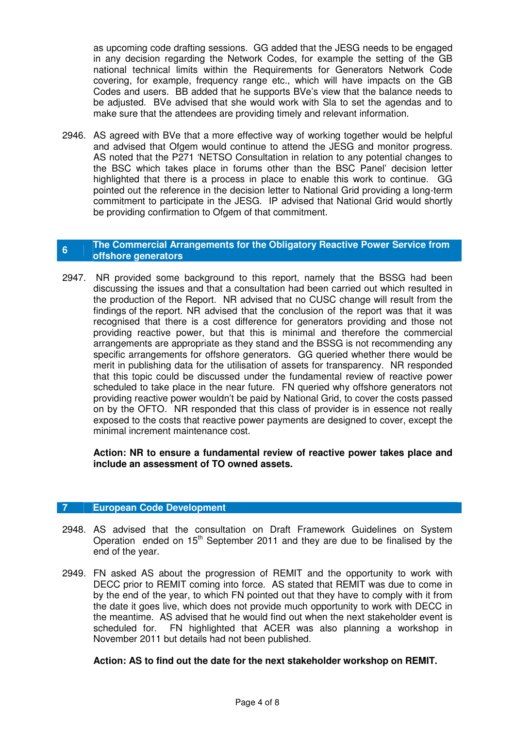as upcoming code drafting sessions. GG added that the JESG needs to be engaged in any decision regarding the Network Codes, for example the setting of the GB national technical limits within the Requirements for Generators Network Code covering, for example, frequency range etc., which will have impacts on the GB Codes and users. BB added that he supports BVe's view that the balance needs to be adjusted. BVe advised that she would work with Sla to set the agendas and to make sure that the attendees are providing timely and relevant information.

2946. AS agreed with BVe that a more effective way of working together would be helpful and advised that Ofgem would continue to attend the JESG and monitor progress. AS noted that the P271 'NETSO Consultation in relation to any potential changes to the BSC which takes place in forums other than the BSC Panel' decision letter highlighted that there is a process in place to enable this work to continue. GG pointed out the reference in the decision letter to National Grid providing a long-term commitment to participate in the JESG. IP advised that National Grid would shortly be providing confirmation to Ofgem of that commitment.

# **6** The Commercial Arrangements for the Obligatory Reactive Power Service from *CHARGES* **offshore generators**

2947. NR provided some background to this report, namely that the BSSG had been discussing the issues and that a consultation had been carried out which resulted in the production of the Report. NR advised that no CUSC change will result from the findings of the report. NR advised that the conclusion of the report was that it was recognised that there is a cost difference for generators providing and those not providing reactive power, but that this is minimal and therefore the commercial arrangements are appropriate as they stand and the BSSG is not recommending any specific arrangements for offshore generators. GG queried whether there would be merit in publishing data for the utilisation of assets for transparency. NR responded that this topic could be discussed under the fundamental review of reactive power scheduled to take place in the near future. FN queried why offshore generators not providing reactive power wouldn't be paid by National Grid, to cover the costs passed on by the OFTO. NR responded that this class of provider is in essence not really exposed to the costs that reactive power payments are designed to cover, except the minimal increment maintenance cost.

**Action: NR to ensure a fundamental review of reactive power takes place and include an assessment of TO owned assets.** 

#### **7 European Code Development**

- 2948. AS advised that the consultation on Draft Framework Guidelines on System Operation ended on  $15<sup>th</sup>$  September 2011 and they are due to be finalised by the end of the year.
- 2949. FN asked AS about the progression of REMIT and the opportunity to work with DECC prior to REMIT coming into force. AS stated that REMIT was due to come in by the end of the year, to which FN pointed out that they have to comply with it from the date it goes live, which does not provide much opportunity to work with DECC in the meantime. AS advised that he would find out when the next stakeholder event is scheduled for. FN highlighted that ACER was also planning a workshop in November 2011 but details had not been published.

# **Action: AS to find out the date for the next stakeholder workshop on REMIT.**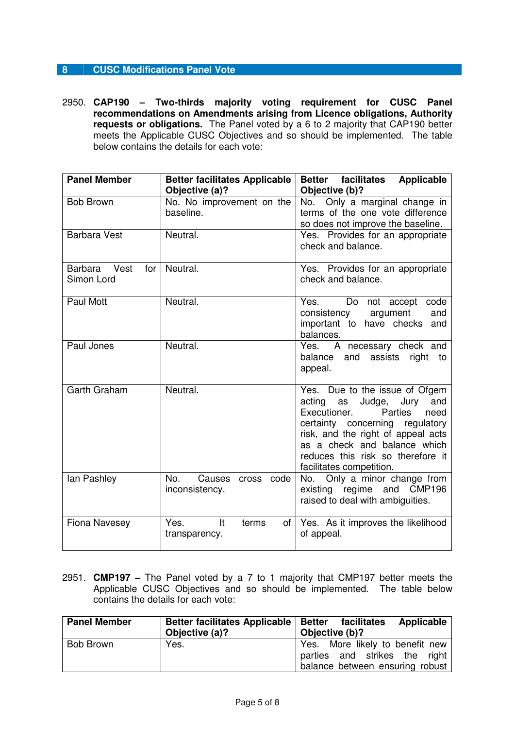# **8 CUSC Modifications Panel Vote**

2950. **CAP190 – Two-thirds majority voting requirement for CUSC Panel recommendations on Amendments arising from Licence obligations, Authority requests or obligations.** The Panel voted by a 6 to 2 majority that CAP190 better meets the Applicable CUSC Objectives and so should be implemented. The table below contains the details for each vote:

| <b>Panel Member</b>                  | Better facilitates Applicable<br>Objective (a)? | <b>Better facilitates</b><br><b>Applicable</b><br>Objective (b)?                                                                                                                                                                                                                         |
|--------------------------------------|-------------------------------------------------|------------------------------------------------------------------------------------------------------------------------------------------------------------------------------------------------------------------------------------------------------------------------------------------|
| <b>Bob Brown</b>                     | No. No improvement on the<br>baseline.          | No. Only a marginal change in<br>terms of the one vote difference<br>so does not improve the baseline.                                                                                                                                                                                   |
| <b>Barbara Vest</b>                  | Neutral.                                        | Yes. Provides for an appropriate<br>check and balance.                                                                                                                                                                                                                                   |
| Barbara<br>Vest<br>for<br>Simon Lord | Neutral.                                        | Yes. Provides for an appropriate<br>check and balance.                                                                                                                                                                                                                                   |
| Paul Mott                            | Neutral.                                        | Do<br>Yes.<br>not accept<br>code<br>consistency<br>argument<br>and<br>important to have checks<br>and<br>balances.                                                                                                                                                                       |
| Paul Jones                           | Neutral.                                        | Yes.<br>A necessary check and<br>balance and assists<br>right to<br>appeal.                                                                                                                                                                                                              |
| Garth Graham                         | Neutral.                                        | Yes. Due to the issue of Ofgem<br>Jury<br>acting<br>as Judge,<br>and<br>Executioner.<br><b>Parties</b><br>need<br>certainty concerning regulatory<br>risk, and the right of appeal acts<br>as a check and balance which<br>reduces this risk so therefore it<br>facilitates competition. |
| lan Pashley                          | No.<br>cross code<br>Causes<br>inconsistency.   | No. Only a minor change from<br>existing regime<br>and CMP196<br>raised to deal with ambiguities.                                                                                                                                                                                        |
| <b>Fiona Navesey</b>                 | Yes.<br>It<br>terms<br>transparency.            | of   Yes. As it improves the likelihood<br>of appeal.                                                                                                                                                                                                                                    |

2951. **CMP197 –** The Panel voted by a 7 to 1 majority that CMP197 better meets the Applicable CUSC Objectives and so should be implemented. The table below contains the details for each vote:

| <b>Panel Member</b> | Better facilitates Applicable   Better facilitates<br>Objective (a)? | Applicable<br>Objective (b)?                                                                        |
|---------------------|----------------------------------------------------------------------|-----------------------------------------------------------------------------------------------------|
| Bob Brown           | Yes.                                                                 | Yes. More likely to benefit new<br>parties and strikes the right<br>balance between ensuring robust |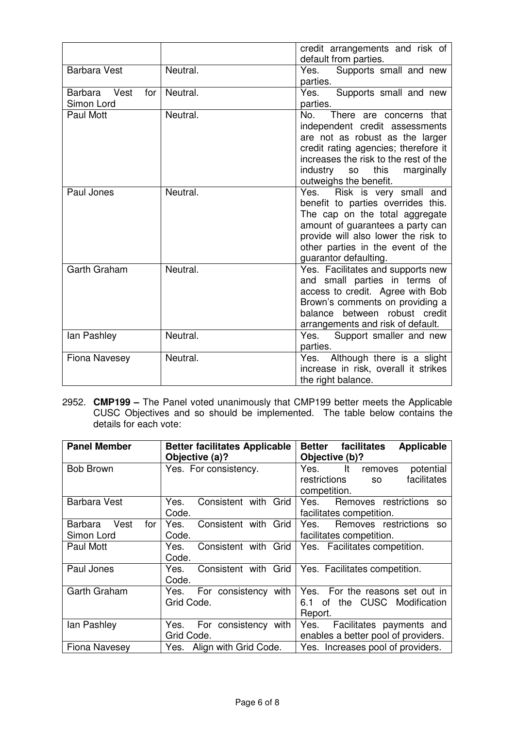|                                           |          | credit arrangements and risk of<br>default from parties.                                                                                                                                                                                                            |
|-------------------------------------------|----------|---------------------------------------------------------------------------------------------------------------------------------------------------------------------------------------------------------------------------------------------------------------------|
| <b>Barbara Vest</b>                       | Neutral. | Supports small and new<br>Yes.<br>parties.                                                                                                                                                                                                                          |
| Barbara Vest<br>for $\vert$<br>Simon Lord | Neutral. | Yes.<br>Supports small and new<br>parties.                                                                                                                                                                                                                          |
| Paul Mott                                 | Neutral. | No.<br>There are concerns that<br>independent credit assessments<br>are not as robust as the larger<br>credit rating agencies; therefore it<br>increases the risk to the rest of the<br>industry<br>this<br>marginally<br>SO <sub>2</sub><br>outweighs the benefit. |
| Paul Jones                                | Neutral. | Risk is very small and<br>Yes.<br>benefit to parties overrides this.<br>The cap on the total aggregate<br>amount of guarantees a party can<br>provide will also lower the risk to<br>other parties in the event of the<br>guarantor defaulting.                     |
| Garth Graham                              | Neutral. | Yes. Facilitates and supports new<br>and small parties in terms of<br>access to credit. Agree with Bob<br>Brown's comments on providing a<br>balance between robust credit<br>arrangements and risk of default.                                                     |
| lan Pashley                               | Neutral. | Yes. Support smaller and new<br>parties.                                                                                                                                                                                                                            |
| <b>Fiona Navesey</b>                      | Neutral. | Although there is a slight<br>Yes.<br>increase in risk, overall it strikes<br>the right balance.                                                                                                                                                                    |

2952. **CMP199 –** The Panel voted unanimously that CMP199 better meets the Applicable CUSC Objectives and so should be implemented. The table below contains the details for each vote:

| <b>Panel Member</b>    | <b>Better facilitates Applicable</b><br>Objective (a)? | <b>Applicable</b><br>facilitates<br><b>Better</b><br>Objective (b)? |
|------------------------|--------------------------------------------------------|---------------------------------------------------------------------|
| <b>Bob Brown</b>       | Yes. For consistency.                                  | It<br>potential<br>Yes.<br>removes                                  |
|                        |                                                        | facilitates<br>restrictions<br><b>SO</b>                            |
|                        |                                                        | competition.                                                        |
| <b>Barbara Vest</b>    | Consistent with Grid<br>Yes.                           | Removes restrictions<br>Yes.<br><b>SO</b>                           |
|                        | Code.                                                  | facilitates competition.                                            |
| Vest<br>Barbara<br>for | Consistent with Grid<br>Yes.                           | Removes restrictions so<br>Yes.                                     |
| Simon Lord             | Code.                                                  | facilitates competition.                                            |
| Paul Mott              | Consistent with Grid<br>Yes.                           | Yes. Facilitates competition.                                       |
|                        | Code.                                                  |                                                                     |
| Paul Jones             | Consistent with Grid<br>Yes.                           | Yes. Facilitates competition.                                       |
|                        | Code.                                                  |                                                                     |
| Garth Graham           | For consistency with<br>Yes.                           | Yes. For the reasons set out in                                     |
|                        | Grid Code.                                             | of the CUSC Modification<br>6.1                                     |
|                        |                                                        | Report.                                                             |
| lan Pashley            | For consistency with<br>Yes.                           | Facilitates payments and<br>Yes.                                    |
|                        | Grid Code.                                             | enables a better pool of providers.                                 |
| Fiona Navesey          | Yes. Align with Grid Code.                             | Yes. Increases pool of providers.                                   |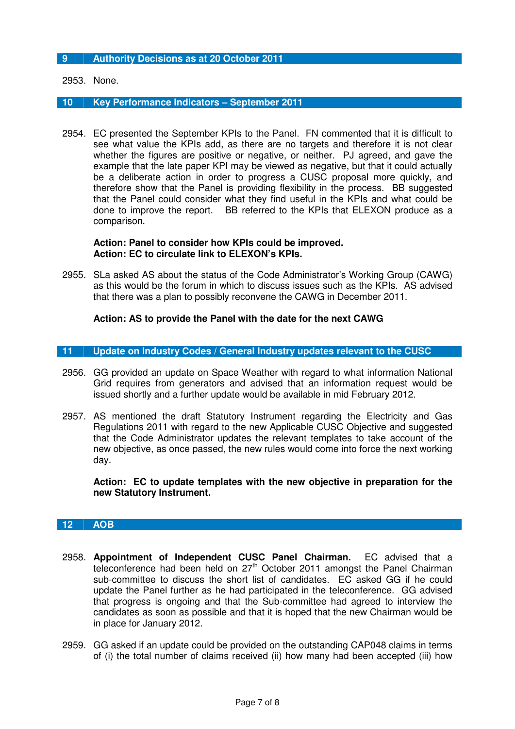# **9 Authority Decisions as at 20 October 2011**

2953. None.

#### **10 Key Performance Indicators – September 2011**

2954. EC presented the September KPIs to the Panel. FN commented that it is difficult to see what value the KPIs add, as there are no targets and therefore it is not clear whether the figures are positive or negative, or neither. PJ agreed, and gave the example that the late paper KPI may be viewed as negative, but that it could actually be a deliberate action in order to progress a CUSC proposal more quickly, and therefore show that the Panel is providing flexibility in the process. BB suggested that the Panel could consider what they find useful in the KPIs and what could be done to improve the report. BB referred to the KPIs that ELEXON produce as a comparison.

#### **Action: Panel to consider how KPIs could be improved. Action: EC to circulate link to ELEXON's KPIs.**

2955. SLa asked AS about the status of the Code Administrator's Working Group (CAWG) as this would be the forum in which to discuss issues such as the KPIs. AS advised that there was a plan to possibly reconvene the CAWG in December 2011.

# **Action: AS to provide the Panel with the date for the next CAWG**

# **11 Update on Industry Codes / General Industry updates relevant to the CUSC**

- 2956. GG provided an update on Space Weather with regard to what information National Grid requires from generators and advised that an information request would be issued shortly and a further update would be available in mid February 2012.
- 2957. AS mentioned the draft Statutory Instrument regarding the Electricity and Gas Regulations 2011 with regard to the new Applicable CUSC Objective and suggested that the Code Administrator updates the relevant templates to take account of the new objective, as once passed, the new rules would come into force the next working day.

**Action: EC to update templates with the new objective in preparation for the new Statutory Instrument.** 

#### **12 AOB**

- 2958. **Appointment of Independent CUSC Panel Chairman.** EC advised that a teleconference had been held on 27<sup>th</sup> October 2011 amongst the Panel Chairman sub-committee to discuss the short list of candidates. EC asked GG if he could update the Panel further as he had participated in the teleconference. GG advised that progress is ongoing and that the Sub-committee had agreed to interview the candidates as soon as possible and that it is hoped that the new Chairman would be in place for January 2012.
- 2959. GG asked if an update could be provided on the outstanding CAP048 claims in terms of (i) the total number of claims received (ii) how many had been accepted (iii) how